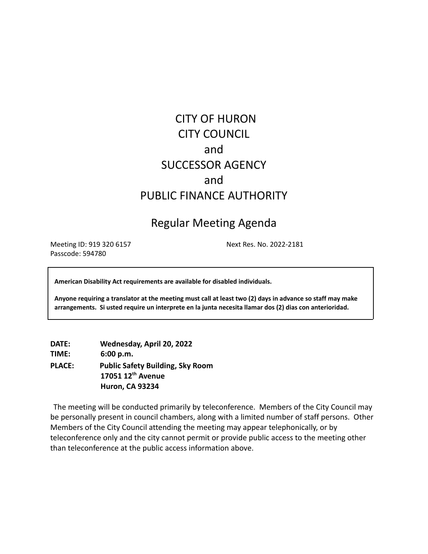# CITY OF HURON CITY COUNCIL and SUCCESSOR AGENCY and PUBLIC FINANCE AUTHORITY

# Regular Meeting Agenda

Meeting ID: 919 320 6157 Next Res. No. 2022-2181 Passcode: 594780

**American Disability Act requirements are available for disabled individuals.**

Anyone requiring a translator at the meeting must call at least two (2) days in advance so staff may make **arrangements. Si usted require un interprete en la junta necesita llamar dos (2) dias con anterioridad.**

**DATE: Wednesday, April 20, 2022 TIME: 6:00 p.m. PLACE: Public Safety Building, Sky Room 17051 12th Avenue Huron, CA 93234**

The meeting will be conducted primarily by teleconference. Members of the City Council may be personally present in council chambers, along with a limited number of staff persons. Other Members of the City Council attending the meeting may appear telephonically, or by teleconference only and the city cannot permit or provide public access to the meeting other than teleconference at the public access information above.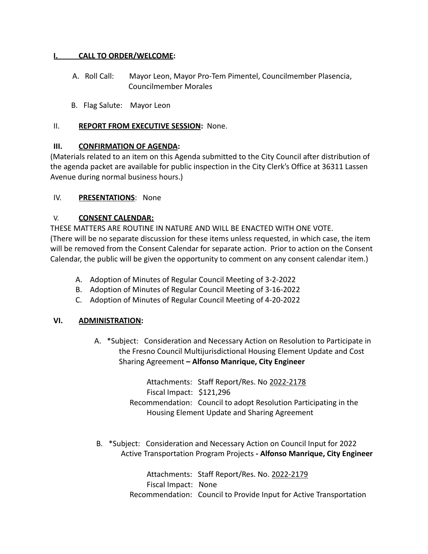#### **I. CALL TO ORDER/WELCOME:**

- A. Roll Call: Mayor Leon, Mayor Pro-Tem Pimentel, Councilmember Plasencia, Councilmember Morales
- B. Flag Salute: Mayor Leon

#### II. **REPORT FROM EXECUTIVE SESSION:** None.

# **III. CONFIRMATION OF AGENDA:**

(Materials related to an item on this Agenda submitted to the City Council after distribution of the agenda packet are available for public inspection in the City Clerk's Office at 36311 Lassen Avenue during normal business hours.)

# IV. **PRESENTATIONS**: None

#### V. **CONSENT CALENDAR:**

THESE MATTERS ARE ROUTINE IN NATURE AND WILL BE ENACTED WITH ONE VOTE. (There will be no separate discussion for these items unless requested, in which case, the item will be removed from the Consent Calendar for separate action. Prior to action on the Consent Calendar, the public will be given the opportunity to comment on any consent calendar item.)

- A. Adoption of Minutes of Regular Council Meeting of 3-2-2022
- B. Adoption of Minutes of Regular Council Meeting of 3-16-2022
- C. Adoption of Minutes of Regular Council Meeting of 4-20-2022

#### **VI. ADMINISTRATION:**

A. \*Subject: Consideration and Necessary Action on Resolution to Participate in the Fresno Council Multijurisdictional Housing Element Update and Cost Sharing Agreement **– Alfonso Manrique, City Engineer**

> Attachments: Staff Report/Res. No 2022-2178 Fiscal Impact: \$121,296 Recommendation: Council to adopt Resolution Participating in the Housing Element Update and Sharing Agreement

B. \*Subject: Consideration and Necessary Action on Council Input for 2022 Active Transportation Program Projects **- Alfonso Manrique, City Engineer**

> Attachments: Staff Report/Res. No. 2022-2179 Fiscal Impact: None Recommendation: Council to Provide Input for Active Transportation